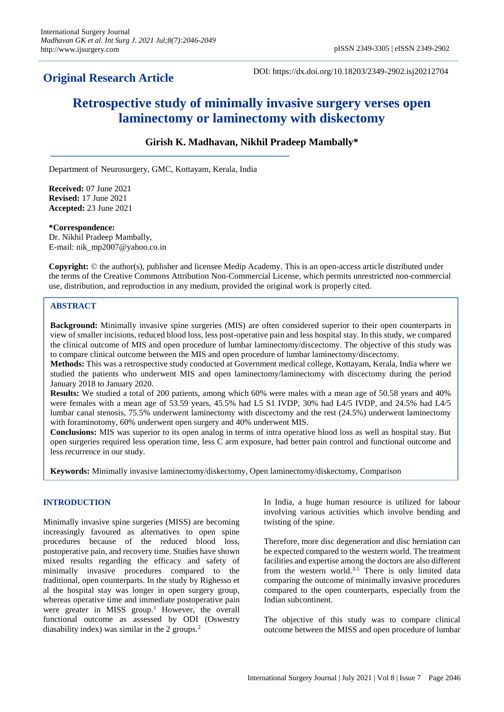## **Original Research Article**

DOI: https://dx.doi.org/10.18203/2349-2902.isj20212704

# **Retrospective study of minimally invasive surgery verses open laminectomy or laminectomy with diskectomy**

### **Girish K. Madhavan, Nikhil Pradeep Mambally\***

Department of Neurosurgery, GMC, Kottayam, Kerala, India

**Received:** 07 June 2021 **Revised:** 17 June 2021 **Accepted:** 23 June 2021

#### **\*Correspondence:**

Dr. Nikhil Pradeep Mambally, E-mail: nik\_mp2007@yahoo.co.in

**Copyright:** © the author(s), publisher and licensee Medip Academy. This is an open-access article distributed under the terms of the Creative Commons Attribution Non-Commercial License, which permits unrestricted non-commercial use, distribution, and reproduction in any medium, provided the original work is properly cited.

#### **ABSTRACT**

**Background:** Minimally invasive spine surgeries (MIS) are often considered superior to their open counterparts in view of smaller incisions, reduced blood loss, less post-operative pain and less hospital stay. In this study, we compared the clinical outcome of MIS and open procedure of lumbar laminectomy/discectomy. The objective of this study was to compare clinical outcome between the MIS and open procedure of lumbar laminectomy/discectomy.

**Methods:** This was a retrospective study conducted at Government medical college, Kottayam, Kerala, India where we studied the patients who underwent MIS and open laminectomy/laminectomy with discectomy during the period January 2018 to January 2020.

**Results:** We studied a total of 200 patients, among which 60% were males with a mean age of 50.58 years and 40% were females with a mean age of 53.59 years, 45.5% had L5 S1 IVDP, 30% had L4/5 IVDP, and 24.5% had L4/5 lumbar canal stenosis, 75.5% underwent laminectomy with discectomy and the rest (24.5%) underwent laminectomy with foraminotomy, 60% underwent open surgery and 40% underwent MIS.

**Conclusions:** MIS was superior to its open analog in terms of intra operative blood loss as well as hospital stay. But open surgeries required less operation time, less C arm exposure, had better pain control and functional outcome and less recurrence in our study.

**Keywords:** Minimally invasive laminectomy/diskectomy, Open laminectomy/diskectomy, Comparison

#### **INTRODUCTION**

Minimally invasive spine surgeries (MISS) are becoming increasingly favoured as alternatives to open spine procedures because of the reduced blood loss, postoperative pain, and recovery time. Studies have shown mixed results regarding the efficacy and safety of minimally invasive procedures compared to the traditional, open counterparts. In the study by Righesso et al the hospital stay was longer in open surgery group, whereas operative time and immediate postoperative pain were greater in MISS group.<sup>1</sup> However, the overall functional outcome as assessed by ODI (Oswestry diasability index) was similar in the 2 groups.<sup>2</sup>

In India, a huge human resource is utilized for labour involving various activities which involve bending and twisting of the spine.

Therefore, more disc degeneration and disc herniation can be expected compared to the western world. The treatment facilities and expertise among the doctors are also different from the western world. $3-5$  There is only limited data comparing the outcome of minimally invasive procedures compared to the open counterparts, especially from the Indian subcontinent.

The objective of this study was to compare clinical outcome between the MISS and open procedure of lumbar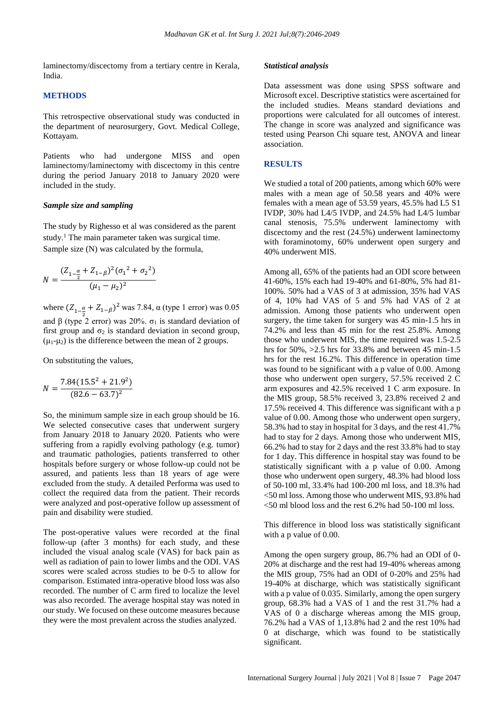laminectomy/discectomy from a tertiary centre in Kerala, India.

#### **METHODS**

This retrospective observational study was conducted in the department of neurosurgery, Govt. Medical College, Kottayam.

Patients who had undergone MISS and open laminectomy/laminectomy with discectomy in this centre during the period January 2018 to January 2020 were included in the study.

#### *Sample size and sampling*

The study by Righesso et al was considered as the parent study.<sup>1</sup> The main parameter taken was surgical time. Sample size (N) was calculated by the formula,

$$
N = \frac{(Z_{1-\frac{\alpha}{2}} + Z_{1-\beta})^2 (\sigma_1^2 + \sigma_2^2)}{(\mu_1 - \mu_2)^2}
$$

where  $(Z_{1-\frac{\alpha}{2}} + Z_{1-\beta})^2$  was 7.84, α (type 1 error) was 0.05 and β (type 2 error) was 20%.  $\sigma_1$  is standard deviation of first group and  $\sigma_2$  is standard deviation in second group,  $(\mu_1-\mu_2)$  is the difference between the mean of 2 groups.

On substituting the values,

$$
N = \frac{7.84(15.5^2 + 21.9^2)}{(82.6 - 63.7)^2}
$$

So, the minimum sample size in each group should be 16. We selected consecutive cases that underwent surgery from January 2018 to January 2020. Patients who were suffering from a rapidly evolving pathology (e.g. tumor) and traumatic pathologies, patients transferred to other hospitals before surgery or whose follow-up could not be assured, and patients less than 18 years of age were excluded from the study. A detailed Performa was used to collect the required data from the patient. Their records were analyzed and post-operative follow up assessment of pain and disability were studied.

The post-operative values were recorded at the final follow-up (after 3 months) for each study, and these included the visual analog scale (VAS) for back pain as well as radiation of pain to lower limbs and the ODI. VAS scores were scaled across studies to be 0-5 to allow for comparison. Estimated intra-operative blood loss was also recorded. The number of C arm fired to localize the level was also recorded. The average hospital stay was noted in our study. We focused on these outcome measures because they were the most prevalent across the studies analyzed.

#### *Statistical analysis*

Data assessment was done using SPSS software and Microsoft excel. Descriptive statistics were ascertained for the included studies. Means standard deviations and proportions were calculated for all outcomes of interest. The change in score was analyzed and significance was tested using Pearson Chi square test, ANOVA and linear association.

#### **RESULTS**

We studied a total of 200 patients, among which 60% were males with a mean age of 50.58 years and 40% were females with a mean age of 53.59 years, 45.5% had L5 S1 IVDP, 30% had L4/5 IVDP, and 24.5% had L4/5 lumbar canal stenosis, 75.5% underwent laminectomy with discectomy and the rest (24.5%) underwent laminectomy with foraminotomy, 60% underwent open surgery and 40% underwent MIS.

Among all, 65% of the patients had an ODI score between 41-60%, 15% each had 19-40% and 61-80%, 5% had 81- 100%. 50% had a VAS of 3 at admission, 35% had VAS of 4, 10% had VAS of 5 and 5% had VAS of 2 at admission. Among those patients who underwent open surgery, the time taken for surgery was 45 min-1.5 hrs in 74.2% and less than 45 min for the rest 25.8%. Among those who underwent MIS, the time required was 1.5-2.5 hrs for 50%, >2.5 hrs for 33.8% and between 45 min-1.5 hrs for the rest 16.2%. This difference in operation time was found to be significant with a p value of 0.00. Among those who underwent open surgery, 57.5% received 2 C arm exposures and 42.5% received 1 C arm exposure. In the MIS group, 58.5% received 3, 23.8% received 2 and 17.5% received 4. This difference was significant with a p value of 0.00. Among those who underwent open surgery, 58.3% had to stay in hospital for 3 days, and the rest 41.7% had to stay for 2 days. Among those who underwent MIS, 66.2% had to stay for 2 days and the rest 33.8% had to stay for 1 day. This difference in hospital stay was found to be statistically significant with a p value of 0.00. Among those who underwent open surgery, 48.3% had blood loss of 50-100 ml, 33.4% had 100-200 ml loss, and 18.3% had <50 ml loss. Among those who underwent MIS, 93.8% had <50 ml blood loss and the rest 6.2% had 50-100 ml loss.

This difference in blood loss was statistically significant with a p value of 0.00.

Among the open surgery group, 86.7% had an ODI of 0- 20% at discharge and the rest had 19-40% whereas among the MIS group, 75% had an ODI of 0-20% and 25% had 19-40% at discharge, which was statistically significant with a p value of 0.035. Similarly, among the open surgery group, 68.3% had a VAS of 1 and the rest 31.7% had a VAS of 0 a discharge whereas among the MIS group, 76.2% had a VAS of 1,13.8% had 2 and the rest 10% had 0 at discharge, which was found to be statistically significant.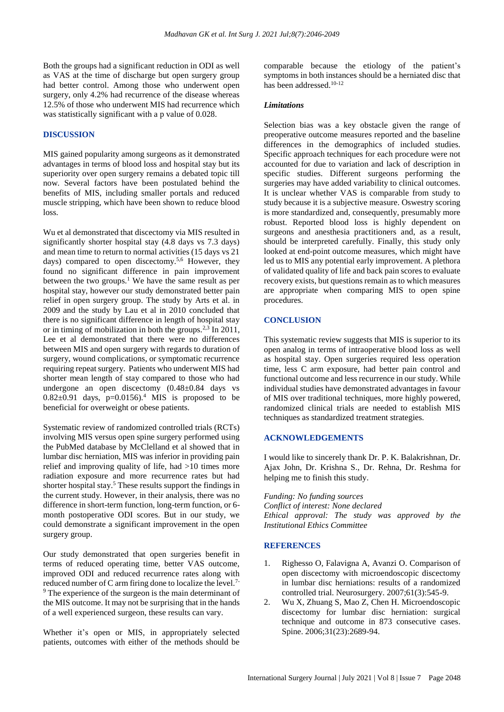Both the groups had a significant reduction in ODI as well as VAS at the time of discharge but open surgery group had better control. Among those who underwent open surgery, only 4.2% had recurrence of the disease whereas 12.5% of those who underwent MIS had recurrence which was statistically significant with a p value of 0.028.

#### **DISCUSSION**

MIS gained popularity among surgeons as it demonstrated advantages in terms of blood loss and hospital stay but its superiority over open surgery remains a debated topic till now. Several factors have been postulated behind the benefits of MIS, including smaller portals and reduced muscle stripping, which have been shown to reduce blood loss.

Wu et al demonstrated that discectomy via MIS resulted in significantly shorter hospital stay (4.8 days vs 7.3 days) and mean time to return to normal activities (15 days vs 21 days) compared to open discectomy.<sup>5,6</sup> However, they found no significant difference in pain improvement between the two groups.<sup>1</sup> We have the same result as per hospital stay, however our study demonstrated better pain relief in open surgery group. The study by Arts et al. in 2009 and the study by Lau et al in 2010 concluded that there is no significant difference in length of hospital stay or in timing of mobilization in both the groups.<sup>2,3</sup> In 2011, Lee et al demonstrated that there were no differences between MIS and open surgery with regards to duration of surgery, wound complications, or symptomatic recurrence requiring repeat surgery. Patients who underwent MIS had shorter mean length of stay compared to those who had undergone an open discectomy (0.48±0.84 days vs 0.82 $\pm$ 0.91 days, p=0.0156).<sup>4</sup> MIS is proposed to be beneficial for overweight or obese patients.

Systematic review of randomized controlled trials (RCTs) involving MIS versus open spine surgery performed using the PubMed database by McClelland et al showed that in lumbar disc herniation, MIS was inferior in providing pain relief and improving quality of life, had >10 times more radiation exposure and more recurrence rates but had shorter hospital stay.<sup>5</sup> These results support the findings in the current study. However, in their analysis, there was no difference in short-term function, long-term function, or 6 month postoperative ODI scores. But in our study, we could demonstrate a significant improvement in the open surgery group.

Our study demonstrated that open surgeries benefit in terms of reduced operating time, better VAS outcome, improved ODI and reduced recurrence rates along with reduced number of C arm firing done to localize the level.7- <sup>9</sup> The experience of the surgeon is the main determinant of the MIS outcome. It may not be surprising that in the hands of a well experienced surgeon, these results can vary.

Whether it's open or MIS, in appropriately selected patients, outcomes with either of the methods should be

comparable because the etiology of the patient's symptoms in both instances should be a herniated disc that has been addressed.<sup>10-12</sup>

#### *Limitations*

Selection bias was a key obstacle given the range of preoperative outcome measures reported and the baseline differences in the demographics of included studies. Specific approach techniques for each procedure were not accounted for due to variation and lack of description in specific studies. Different surgeons performing the surgeries may have added variability to clinical outcomes. It is unclear whether VAS is comparable from study to study because it is a subjective measure. Oswestry scoring is more standardized and, consequently, presumably more robust. Reported blood loss is highly dependent on surgeons and anesthesia practitioners and, as a result, should be interpreted carefully. Finally, this study only looked at end-point outcome measures, which might have led us to MIS any potential early improvement. A plethora of validated quality of life and back pain scores to evaluate recovery exists, but questions remain as to which measures are appropriate when comparing MIS to open spine procedures.

#### **CONCLUSION**

This systematic review suggests that MIS is superior to its open analog in terms of intraoperative blood loss as well as hospital stay. Open surgeries required less operation time, less C arm exposure, had better pain control and functional outcome and less recurrence in our study. While individual studies have demonstrated advantages in favour of MIS over traditional techniques, more highly powered, randomized clinical trials are needed to establish MIS techniques as standardized treatment strategies.

#### **ACKNOWLEDGEMENTS**

I would like to sincerely thank Dr. P. K. Balakrishnan, Dr. Ajax John, Dr. Krishna S., Dr. Rehna, Dr. Reshma for helping me to finish this study.

*Funding: No funding sources Conflict of interest: None declared Ethical approval: The study was approved by the Institutional Ethics Committee*

#### **REFERENCES**

- 1. Righesso O, Falavigna A, Avanzi O. Comparison of open discectomy with microendoscopic discectomy in lumbar disc herniations: results of a randomized controlled trial. Neurosurgery. 2007;61(3):545-9.
- 2. Wu X, Zhuang S, Mao Z, Chen H. Microendoscopic discectomy for lumbar disc herniation: surgical technique and outcome in 873 consecutive cases. Spine. 2006;31(23):2689-94.